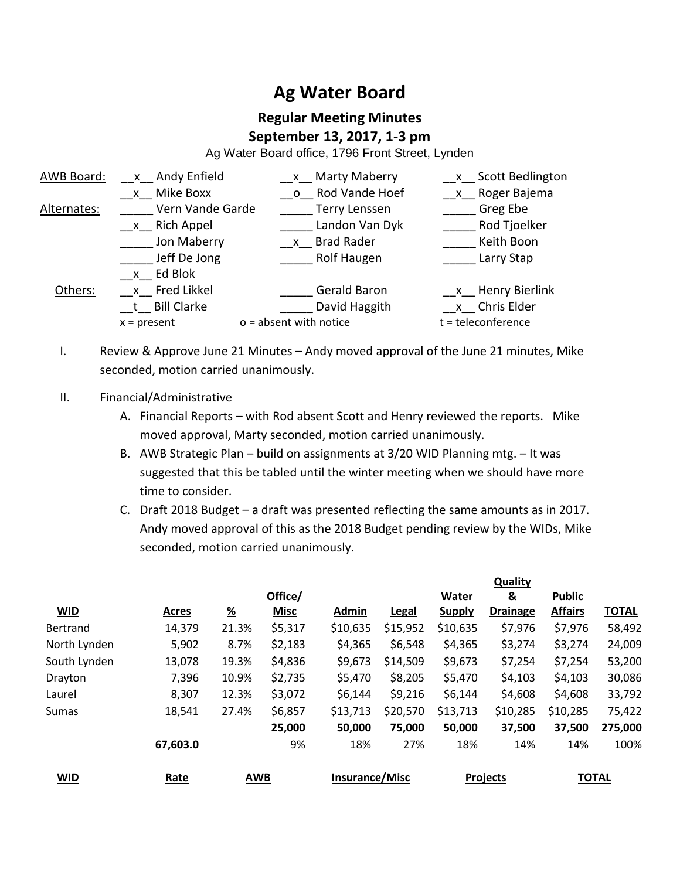# **Ag Water Board**

## **Regular Meeting Minutes September 13, 2017, 1-3 pm**

Ag Water Board office, 1796 Front Street, Lynden

| AWB Board:  | x Andy Enfield   | x Marty Maberry          | x Scott Bedlington   |
|-------------|------------------|--------------------------|----------------------|
|             | x Mike Boxx      | o Rod Vande Hoef         | x Roger Bajema       |
| Alternates: | Vern Vande Garde | Terry Lenssen            | Greg Ebe             |
|             | x Rich Appel     | Landon Van Dyk           | Rod Tjoelker         |
|             | Jon Maberry      | x Brad Rader             | Keith Boon           |
|             | Jeff De Jong     | Rolf Haugen              | Larry Stap           |
|             | $x$ Ed Blok      |                          |                      |
| Others:     | x Fred Likkel    | <b>Gerald Baron</b>      | $x$ Henry Bierlink   |
|             | t Bill Clarke    | David Haggith            | _x_ Chris Elder      |
|             | $x = present$    | $o = absent$ with notice | $t =$ teleconference |

- I. Review & Approve June 21 Minutes Andy moved approval of the June 21 minutes, Mike seconded, motion carried unanimously.
- II. Financial/Administrative
	- A. Financial Reports with Rod absent Scott and Henry reviewed the reports. Mike moved approval, Marty seconded, motion carried unanimously.
	- B. AWB Strategic Plan build on assignments at 3/20 WID Planning mtg. It was suggested that this be tabled until the winter meeting when we should have more time to consider.
	- C. Draft 2018 Budget a draft was presented reflecting the same amounts as in 2017. Andy moved approval of this as the 2018 Budget pending review by the WIDs, Mike seconded, motion carried unanimously.

|                 |              |               |             |                       |              |               | <b>Quality</b>  |                |              |
|-----------------|--------------|---------------|-------------|-----------------------|--------------|---------------|-----------------|----------------|--------------|
|                 |              |               | Office/     |                       |              | <b>Water</b>  | $\underline{8}$ | <b>Public</b>  |              |
| <b>WID</b>      | <b>Acres</b> | $\frac{9}{6}$ | <b>Misc</b> | Admin                 | <b>Legal</b> | <b>Supply</b> | <b>Drainage</b> | <b>Affairs</b> | <b>TOTAL</b> |
| <b>Bertrand</b> | 14,379       | 21.3%         | \$5,317     | \$10,635              | \$15,952     | \$10,635      | \$7,976         | \$7,976        | 58,492       |
| North Lynden    | 5,902        | 8.7%          | \$2,183     | \$4,365               | \$6,548      | \$4,365       | \$3,274         | \$3,274        | 24,009       |
| South Lynden    | 13,078       | 19.3%         | \$4,836     | \$9,673               | \$14,509     | \$9,673       | \$7,254         | \$7,254        | 53,200       |
| Drayton         | 7,396        | 10.9%         | \$2,735     | \$5,470               | \$8,205      | \$5,470       | \$4,103         | \$4,103        | 30,086       |
| Laurel          | 8,307        | 12.3%         | \$3,072     | \$6,144               | \$9,216      | \$6,144       | \$4,608         | \$4,608        | 33,792       |
| Sumas           | 18,541       | 27.4%         | \$6,857     | \$13,713              | \$20,570     | \$13,713      | \$10,285        | \$10,285       | 75,422       |
|                 |              |               | 25,000      | 50,000                | 75,000       | 50,000        | 37,500          | 37,500         | 275,000      |
|                 | 67,603.0     |               | 9%          | 18%                   | 27%          | 18%           | 14%             | 14%            | 100%         |
| <b>WID</b>      | Rate         | <b>AWB</b>    |             | <b>Insurance/Misc</b> |              |               | <b>Projects</b> |                | <b>TOTAL</b> |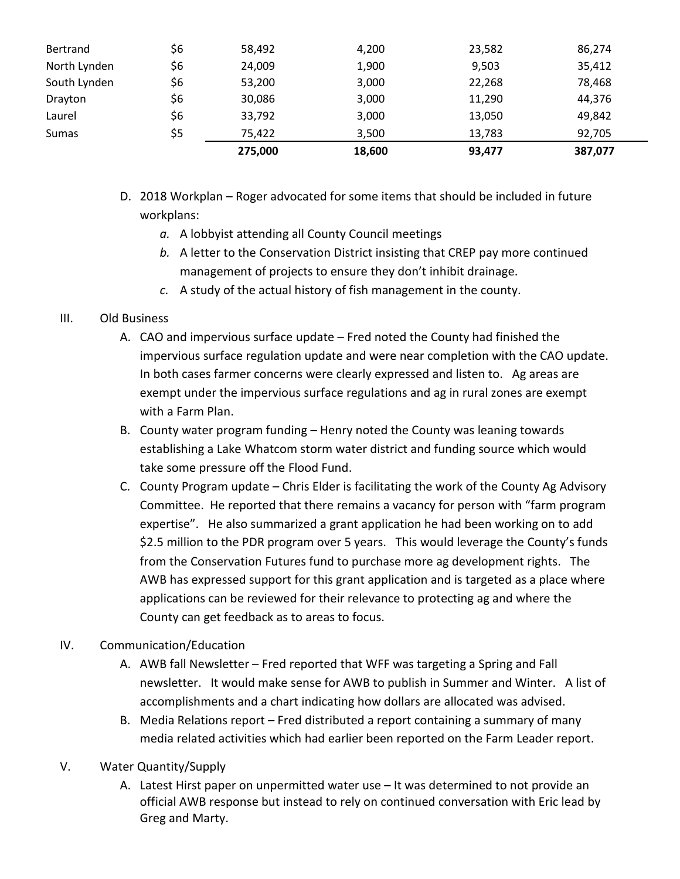| Sumas        | \$5 | 75.422 | 3,500 | 13,783 | 92,705 |
|--------------|-----|--------|-------|--------|--------|
| Laurel       | \$6 | 33,792 | 3,000 | 13,050 | 49,842 |
| Drayton      | \$6 | 30,086 | 3,000 | 11,290 | 44,376 |
| South Lynden | \$6 | 53,200 | 3,000 | 22,268 | 78,468 |
| North Lynden | \$6 | 24,009 | 1,900 | 9,503  | 35,412 |
| Bertrand     | \$6 | 58,492 | 4,200 | 23,582 | 86,274 |

- D. 2018 Workplan Roger advocated for some items that should be included in future workplans:
	- *a.* A lobbyist attending all County Council meetings
	- *b.* A letter to the Conservation District insisting that CREP pay more continued management of projects to ensure they don't inhibit drainage.
	- *c.* A study of the actual history of fish management in the county.

#### III. Old Business

- A. CAO and impervious surface update Fred noted the County had finished the impervious surface regulation update and were near completion with the CAO update. In both cases farmer concerns were clearly expressed and listen to. Ag areas are exempt under the impervious surface regulations and ag in rural zones are exempt with a Farm Plan.
- B. County water program funding Henry noted the County was leaning towards establishing a Lake Whatcom storm water district and funding source which would take some pressure off the Flood Fund.
- C. County Program update Chris Elder is facilitating the work of the County Ag Advisory Committee. He reported that there remains a vacancy for person with "farm program expertise". He also summarized a grant application he had been working on to add \$2.5 million to the PDR program over 5 years. This would leverage the County's funds from the Conservation Futures fund to purchase more ag development rights. The AWB has expressed support for this grant application and is targeted as a place where applications can be reviewed for their relevance to protecting ag and where the County can get feedback as to areas to focus.

#### IV. Communication/Education

- A. AWB fall Newsletter Fred reported that WFF was targeting a Spring and Fall newsletter. It would make sense for AWB to publish in Summer and Winter. A list of accomplishments and a chart indicating how dollars are allocated was advised.
- B. Media Relations report Fred distributed a report containing a summary of many media related activities which had earlier been reported on the Farm Leader report.

### V. Water Quantity/Supply

A. Latest Hirst paper on unpermitted water use – It was determined to not provide an official AWB response but instead to rely on continued conversation with Eric lead by Greg and Marty.